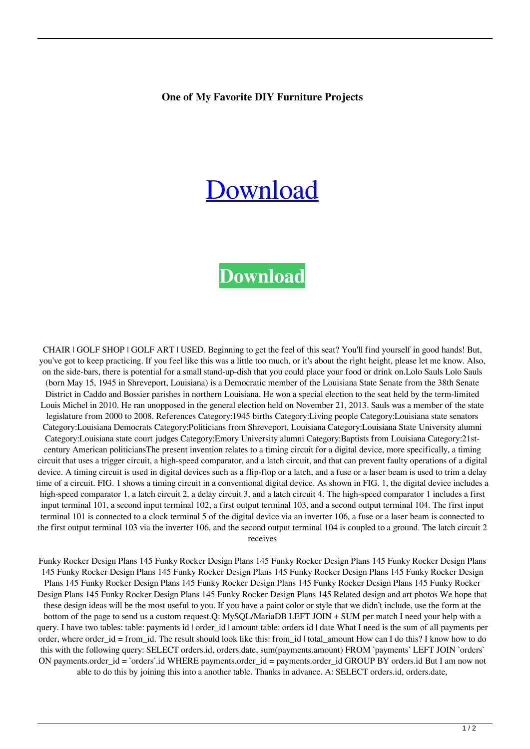## **One of My Favorite DIY Furniture Projects**

## [Download](https://urlin.us/2l08wi)

## **[Download](https://urlin.us/2l08wi)**

CHAIR | GOLF SHOP | GOLF ART | USED. Beginning to get the feel of this seat? You'll find yourself in good hands! But, you've got to keep practicing. If you feel like this was a little too much, or it's about the right height, please let me know. Also, on the side-bars, there is potential for a small stand-up-dish that you could place your food or drink on.Lolo Sauls Lolo Sauls (born May 15, 1945 in Shreveport, Louisiana) is a Democratic member of the Louisiana State Senate from the 38th Senate District in Caddo and Bossier parishes in northern Louisiana. He won a special election to the seat held by the term-limited Louis Michel in 2010. He ran unopposed in the general election held on November 21, 2013. Sauls was a member of the state legislature from 2000 to 2008. References Category:1945 births Category:Living people Category:Louisiana state senators Category:Louisiana Democrats Category:Politicians from Shreveport, Louisiana Category:Louisiana State University alumni Category:Louisiana state court judges Category:Emory University alumni Category:Baptists from Louisiana Category:21stcentury American politiciansThe present invention relates to a timing circuit for a digital device, more specifically, a timing circuit that uses a trigger circuit, a high-speed comparator, and a latch circuit, and that can prevent faulty operations of a digital device. A timing circuit is used in digital devices such as a flip-flop or a latch, and a fuse or a laser beam is used to trim a delay time of a circuit. FIG. 1 shows a timing circuit in a conventional digital device. As shown in FIG. 1, the digital device includes a high-speed comparator 1, a latch circuit 2, a delay circuit 3, and a latch circuit 4. The high-speed comparator 1 includes a first input terminal 101, a second input terminal 102, a first output terminal 103, and a second output terminal 104. The first input terminal 101 is connected to a clock terminal 5 of the digital device via an inverter 106, a fuse or a laser beam is connected to the first output terminal 103 via the inverter 106, and the second output terminal 104 is coupled to a ground. The latch circuit 2 receives

Funky Rocker Design Plans 145 Funky Rocker Design Plans 145 Funky Rocker Design Plans 145 Funky Rocker Design Plans 145 Funky Rocker Design Plans 145 Funky Rocker Design Plans 145 Funky Rocker Design Plans 145 Funky Rocker Design Plans 145 Funky Rocker Design Plans 145 Funky Rocker Design Plans 145 Funky Rocker Design Plans 145 Funky Rocker Design Plans 145 Funky Rocker Design Plans 145 Funky Rocker Design Plans 145 Related design and art photos We hope that these design ideas will be the most useful to you. If you have a paint color or style that we didn't include, use the form at the bottom of the page to send us a custom request.Q: MySQL/MariaDB LEFT JOIN + SUM per match I need your help with a query. I have two tables: table: payments id | order\_id | amount table: orders id | date What I need is the sum of all payments per order, where order id = from id. The result should look like this: from id | total\_amount How can I do this? I know how to do this with the following query: SELECT orders.id, orders.date, sum(payments.amount) FROM `payments` LEFT JOIN `orders` ON payments.order\_id = `orders`.id WHERE payments.order\_id = payments.order\_id GROUP BY orders.id But I am now not able to do this by joining this into a another table. Thanks in advance. A: SELECT orders.id, orders.date,